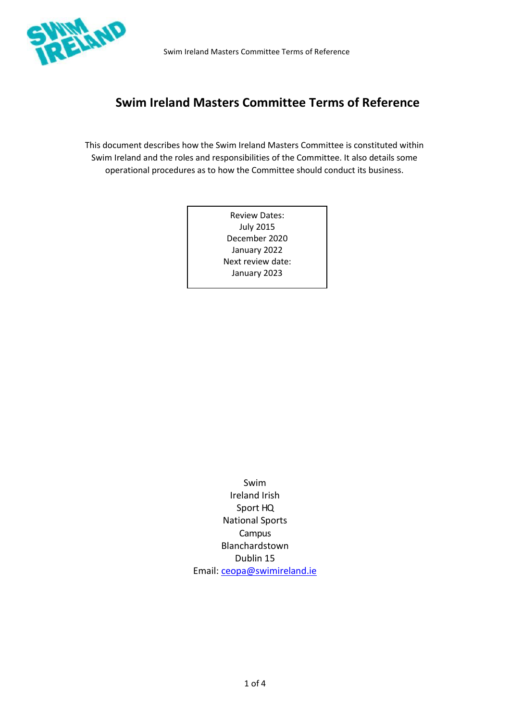

# **Swim Ireland Masters Committee Terms of Reference**

This document describes how the Swim Ireland Masters Committee is constituted within Swim Ireland and the roles and responsibilities of the Committee. It also details some operational procedures as to how the Committee should conduct its business.

> Review Dates: July 2015 December 2020 January 2022 Next review date: January 2023

Swim Ireland Irish Sport HQ National Sports Campus Blanchardstown Dublin 15 Email: [ceopa@swimireland.ie](mailto:ceopa@swimireland.ie)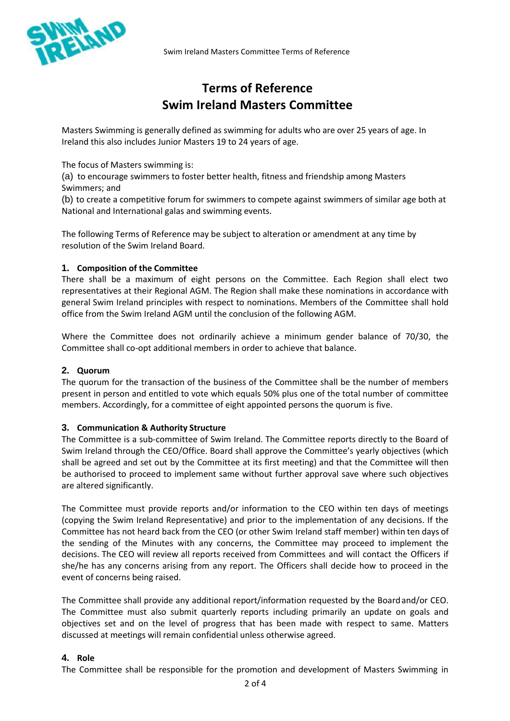

# **Terms of Reference Swim Ireland Masters Committee**

Masters Swimming is generally defined as swimming for adults who are over 25 years of age. In Ireland this also includes Junior Masters 19 to 24 years of age.

The focus of Masters swimming is:

(a) to encourage swimmers to foster better health, fitness and friendship among Masters Swimmers; and

(b) to create a competitive forum for swimmers to compete against swimmers of similar age both at National and International galas and swimming events.

The following Terms of Reference may be subject to alteration or amendment at any time by resolution of the Swim Ireland Board.

### **1. Composition of the Committee**

There shall be a maximum of eight persons on the Committee. Each Region shall elect two representatives at their Regional AGM. The Region shall make these nominations in accordance with general Swim Ireland principles with respect to nominations. Members of the Committee shall hold office from the Swim Ireland AGM until the conclusion of the following AGM.

Where the Committee does not ordinarily achieve a minimum gender balance of 70/30, the Committee shall co-opt additional members in order to achieve that balance.

#### **2. Quorum**

The quorum for the transaction of the business of the Committee shall be the number of members present in person and entitled to vote which equals 50% plus one of the total number of committee members. Accordingly, for a committee of eight appointed persons the quorum is five.

# **3. Communication & Authority Structure**

The Committee is a sub-committee of Swim Ireland. The Committee reports directly to the Board of Swim Ireland through the CEO/Office. Board shall approve the Committee's yearly objectives (which shall be agreed and set out by the Committee at its first meeting) and that the Committee will then be authorised to proceed to implement same without further approval save where such objectives are altered significantly.

The Committee must provide reports and/or information to the CEO within ten days of meetings (copying the Swim Ireland Representative) and prior to the implementation of any decisions. If the Committee has not heard back from the CEO (or other Swim Ireland staff member) within ten days of the sending of the Minutes with any concerns, the Committee may proceed to implement the decisions. The CEO will review all reports received from Committees and will contact the Officers if she/he has any concerns arising from any report. The Officers shall decide how to proceed in the event of concerns being raised.

The Committee shall provide any additional report/information requested by the Boardand/or CEO. The Committee must also submit quarterly reports including primarily an update on goals and objectives set and on the level of progress that has been made with respect to same. Matters discussed at meetings will remain confidential unless otherwise agreed.

### **4. Role**

The Committee shall be responsible for the promotion and development of Masters Swimming in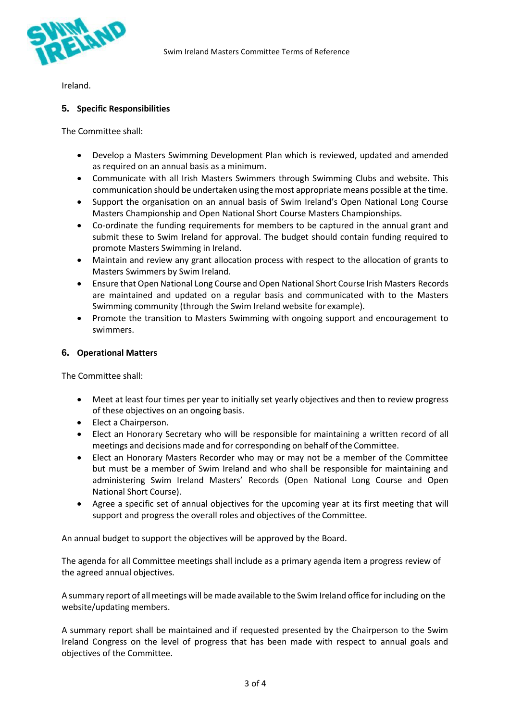

Ireland.

### **5. Specific Responsibilities**

The Committee shall:

- Develop a Masters Swimming Development Plan which is reviewed, updated and amended as required on an annual basis as a minimum.
- Communicate with all Irish Masters Swimmers through Swimming Clubs and website. This communication should be undertaken using the most appropriate means possible at the time.
- Support the organisation on an annual basis of Swim Ireland's Open National Long Course Masters Championship and Open National Short Course Masters Championships.
- Co-ordinate the funding requirements for members to be captured in the annual grant and submit these to Swim Ireland for approval. The budget should contain funding required to promote Masters Swimming in Ireland.
- Maintain and review any grant allocation process with respect to the allocation of grants to Masters Swimmers by Swim Ireland.
- Ensure that Open National Long Course and Open National Short Course Irish Masters Records are maintained and updated on a regular basis and communicated with to the Masters Swimming community (through the Swim Ireland website for example).
- Promote the transition to Masters Swimming with ongoing support and encouragement to swimmers.

### **6. Operational Matters**

The Committee shall:

- Meet at least four times per year to initially set yearly objectives and then to review progress of these objectives on an ongoing basis.
- Elect a Chairperson.
- Elect an Honorary Secretary who will be responsible for maintaining a written record of all meetings and decisions made and for corresponding on behalf of the Committee.
- Elect an Honorary Masters Recorder who may or may not be a member of the Committee but must be a member of Swim Ireland and who shall be responsible for maintaining and administering Swim Ireland Masters' Records (Open National Long Course and Open National Short Course).
- Agree a specific set of annual objectives for the upcoming year at its first meeting that will support and progress the overall roles and objectives of the Committee.

An annual budget to support the objectives will be approved by the Board.

The agenda for all Committee meetings shall include as a primary agenda item a progress review of the agreed annual objectives.

A summary report of all meetings will be made available to the Swim Ireland office for including on the website/updating members.

A summary report shall be maintained and if requested presented by the Chairperson to the Swim Ireland Congress on the level of progress that has been made with respect to annual goals and objectives of the Committee.